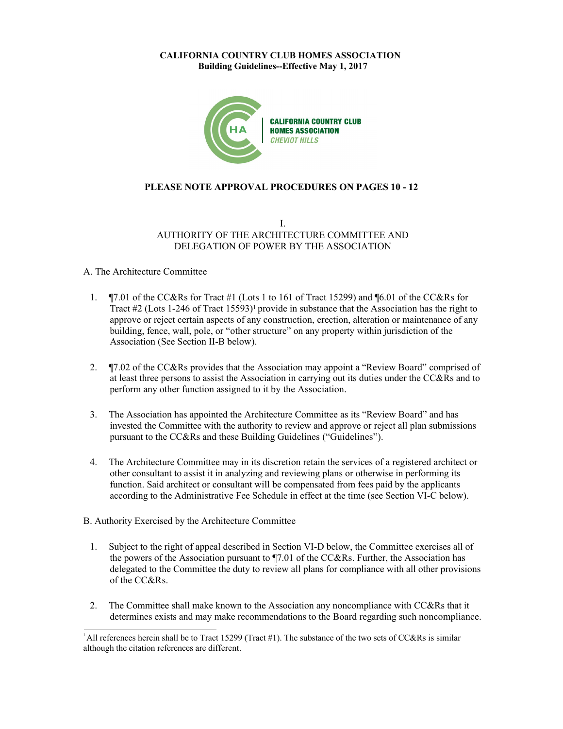

# **PLEASE NOTE APPROVAL PROCEDURES ON PAGES 10 - 12**

# I. AUTHORITY OF THE ARCHITECTURE COMMITTEE AND DELEGATION OF POWER BY THE ASSOCIATION

### A. The Architecture Committee

- 1. ¶7.01 of the CC&Rs for Tract #1 (Lots 1 to 161 of Tract 15299) and ¶6.01 of the CC&Rs for Tract  $\#2$  (Lots 1-246 of Tract 15593)<sup>1</sup> provide in substance that the Association has the right to approve or reject certain aspects of any construction, erection, alteration or maintenance of any building, fence, wall, pole, or "other structure" on any property within jurisdiction of the Association (See Section II-B below).
- 2. ¶7.02 of the CC&Rs provides that the Association may appoint a "Review Board" comprised of at least three persons to assist the Association in carrying out its duties under the CC&Rs and to perform any other function assigned to it by the Association.
- 3. The Association has appointed the Architecture Committee as its "Review Board" and has invested the Committee with the authority to review and approve or reject all plan submissions pursuant to the CC&Rs and these Building Guidelines ("Guidelines").
- 4. The Architecture Committee may in its discretion retain the services of a registered architect or other consultant to assist it in analyzing and reviewing plans or otherwise in performing its function. Said architect or consultant will be compensated from fees paid by the applicants according to the Administrative Fee Schedule in effect at the time (see Section VI-C below).
- B. Authority Exercised by the Architecture Committee
	- 1. Subject to the right of appeal described in Section VI-D below, the Committee exercises all of the powers of the Association pursuant to ¶7.01 of the CC&Rs. Further, the Association has delegated to the Committee the duty to review all plans for compliance with all other provisions of the CC&Rs.
	- 2. The Committee shall make known to the Association any noncompliance with CC&Rs that it determines exists and may make recommendations to the Board regarding such noncompliance.

<sup>&</sup>lt;sup>1</sup>All references herein shall be to Tract 15299 (Tract #1). The substance of the two sets of CC&Rs is similar although the citation references are different.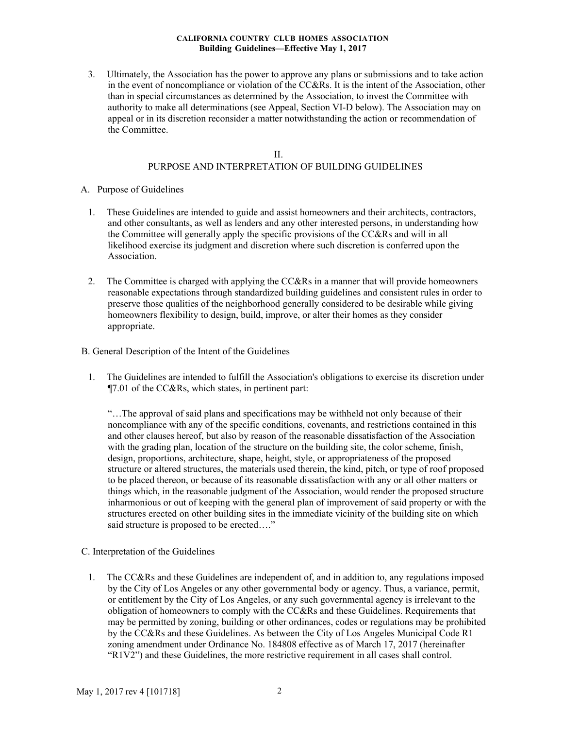3. Ultimately, the Association has the power to approve any plans or submissions and to take action in the event of noncompliance or violation of the CC&Rs. It is the intent of the Association, other than in special circumstances as determined by the Association, to invest the Committee with authority to make all determinations (see Appeal, Section VI-D below). The Association may on appeal or in its discretion reconsider a matter notwithstanding the action or recommendation of the Committee.

# II. PURPOSE AND INTERPRETATION OF BUILDING GUIDELINES

- A. Purpose of Guidelines
	- 1. These Guidelines are intended to guide and assist homeowners and their architects, contractors, and other consultants, as well as lenders and any other interested persons, in understanding how the Committee will generally apply the specific provisions of the CC&Rs and will in all likelihood exercise its judgment and discretion where such discretion is conferred upon the Association.
	- 2. The Committee is charged with applying the CC&Rs in a manner that will provide homeowners reasonable expectations through standardized building guidelines and consistent rules in order to preserve those qualities of the neighborhood generally considered to be desirable while giving homeowners flexibility to design, build, improve, or alter their homes as they consider appropriate.

## B. General Description of the Intent of the Guidelines

1. The Guidelines are intended to fulfill the Association's obligations to exercise its discretion under ¶7.01 of the CC&Rs, which states, in pertinent part:

"…The approval of said plans and specifications may be withheld not only because of their noncompliance with any of the specific conditions, covenants, and restrictions contained in this and other clauses hereof, but also by reason of the reasonable dissatisfaction of the Association with the grading plan, location of the structure on the building site, the color scheme, finish, design, proportions, architecture, shape, height, style, or appropriateness of the proposed structure or altered structures, the materials used therein, the kind, pitch, or type of roof proposed to be placed thereon, or because of its reasonable dissatisfaction with any or all other matters or things which, in the reasonable judgment of the Association, would render the proposed structure inharmonious or out of keeping with the general plan of improvement of said property or with the structures erected on other building sites in the immediate vicinity of the building site on which said structure is proposed to be erected…."

# C. Interpretation of the Guidelines

1. The CC&Rs and these Guidelines are independent of, and in addition to, any regulations imposed by the City of Los Angeles or any other governmental body or agency. Thus, a variance, permit, or entitlement by the City of Los Angeles, or any such governmental agency is irrelevant to the obligation of homeowners to comply with the CC&Rs and these Guidelines. Requirements that may be permitted by zoning, building or other ordinances, codes or regulations may be prohibited by the CC&Rs and these Guidelines. As between the City of Los Angeles Municipal Code R1 zoning amendment under Ordinance No. 184808 effective as of March 17, 2017 (hereinafter "R1V2") and these Guidelines, the more restrictive requirement in all cases shall control.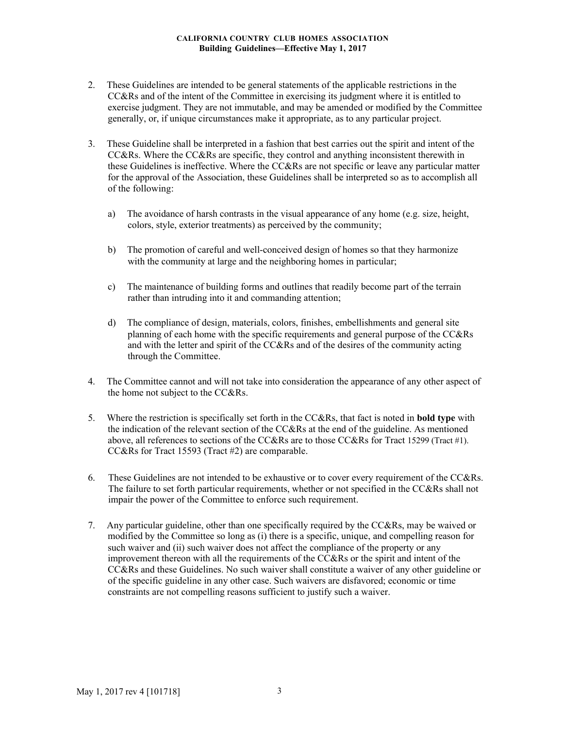- 2. These Guidelines are intended to be general statements of the applicable restrictions in the CC&Rs and of the intent of the Committee in exercising its judgment where it is entitled to exercise judgment. They are not immutable, and may be amended or modified by the Committee generally, or, if unique circumstances make it appropriate, as to any particular project.
- 3. These Guideline shall be interpreted in a fashion that best carries out the spirit and intent of the CC&Rs. Where the CC&Rs are specific, they control and anything inconsistent therewith in these Guidelines is ineffective. Where the CC&Rs are not specific or leave any particular matter for the approval of the Association, these Guidelines shall be interpreted so as to accomplish all of the following:
	- a) The avoidance of harsh contrasts in the visual appearance of any home (e.g. size, height, colors, style, exterior treatments) as perceived by the community;
	- b) The promotion of careful and well-conceived design of homes so that they harmonize with the community at large and the neighboring homes in particular;
	- c) The maintenance of building forms and outlines that readily become part of the terrain rather than intruding into it and commanding attention;
	- d) The compliance of design, materials, colors, finishes, embellishments and general site planning of each home with the specific requirements and general purpose of the CC&Rs and with the letter and spirit of the CC&Rs and of the desires of the community acting through the Committee.
- 4. The Committee cannot and will not take into consideration the appearance of any other aspect of the home not subject to the CC&Rs.
- 5. Where the restriction is specifically set forth in the CC&Rs, that fact is noted in **bold type** with the indication of the relevant section of the CC&Rs at the end of the guideline. As mentioned above, all references to sections of the CC&Rs are to those CC&Rs for Tract 15299 (Tract #1). CC&Rs for Tract 15593 (Tract #2) are comparable.
- 6. These Guidelines are not intended to be exhaustive or to cover every requirement of the CC&Rs. The failure to set forth particular requirements, whether or not specified in the CC&Rs shall not impair the power of the Committee to enforce such requirement.
- 7. Any particular guideline, other than one specifically required by the CC&Rs, may be waived or modified by the Committee so long as (i) there is a specific, unique, and compelling reason for such waiver and (ii) such waiver does not affect the compliance of the property or any improvement thereon with all the requirements of the CC&Rs or the spirit and intent of the CC&Rs and these Guidelines. No such waiver shall constitute a waiver of any other guideline or of the specific guideline in any other case. Such waivers are disfavored; economic or time constraints are not compelling reasons sufficient to justify such a waiver.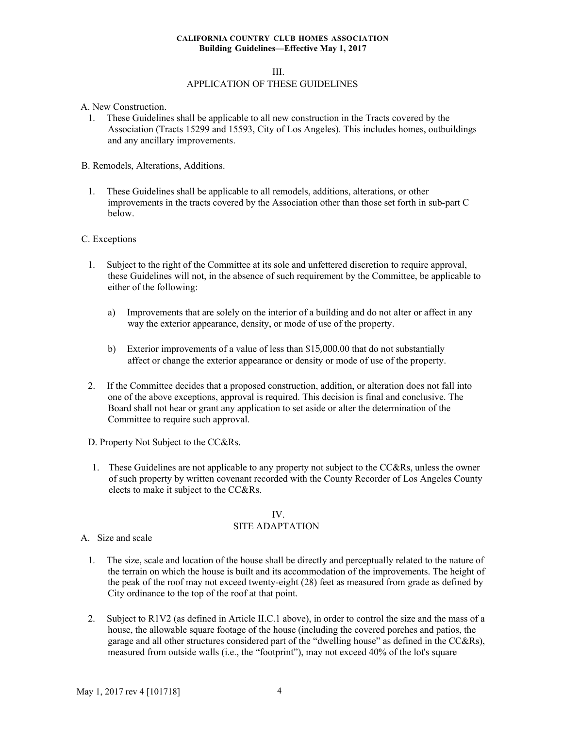#### III.

# APPLICATION OF THESE GUIDELINES

- A. New Construction.
	- 1. These Guidelines shall be applicable to all new construction in the Tracts covered by the Association (Tracts 15299 and 15593, City of Los Angeles). This includes homes, outbuildings and any ancillary improvements.
- B. Remodels, Alterations, Additions.
	- 1. These Guidelines shall be applicable to all remodels, additions, alterations, or other improvements in the tracts covered by the Association other than those set forth in sub-part C below.

#### C. Exceptions

- 1. Subject to the right of the Committee at its sole and unfettered discretion to require approval, these Guidelines will not, in the absence of such requirement by the Committee, be applicable to either of the following:
	- a) Improvements that are solely on the interior of a building and do not alter or affect in any way the exterior appearance, density, or mode of use of the property.
	- b) Exterior improvements of a value of less than \$15,000.00 that do not substantially affect or change the exterior appearance or density or mode of use of the property.
- 2. If the Committee decides that a proposed construction, addition, or alteration does not fall into one of the above exceptions, approval is required. This decision is final and conclusive. The Board shall not hear or grant any application to set aside or alter the determination of the Committee to require such approval.
- D. Property Not Subject to the CC&Rs.
- 1. These Guidelines are not applicable to any property not subject to the CC&Rs, unless the owner of such property by written covenant recorded with the County Recorder of Los Angeles County elects to make it subject to the CC&Rs.

### IV. SITE ADAPTATION

- A. Size and scale
	- 1. The size, scale and location of the house shall be directly and perceptually related to the nature of the terrain on which the house is built and its accommodation of the improvements. The height of the peak of the roof may not exceed twenty-eight (28) feet as measured from grade as defined by City ordinance to the top of the roof at that point.
	- 2. Subject to R1V2 (as defined in Article II.C.1 above), in order to control the size and the mass of a house, the allowable square footage of the house (including the covered porches and patios, the garage and all other structures considered part of the "dwelling house" as defined in the CC&Rs), measured from outside walls (i.e., the "footprint"), may not exceed 40% of the lot's square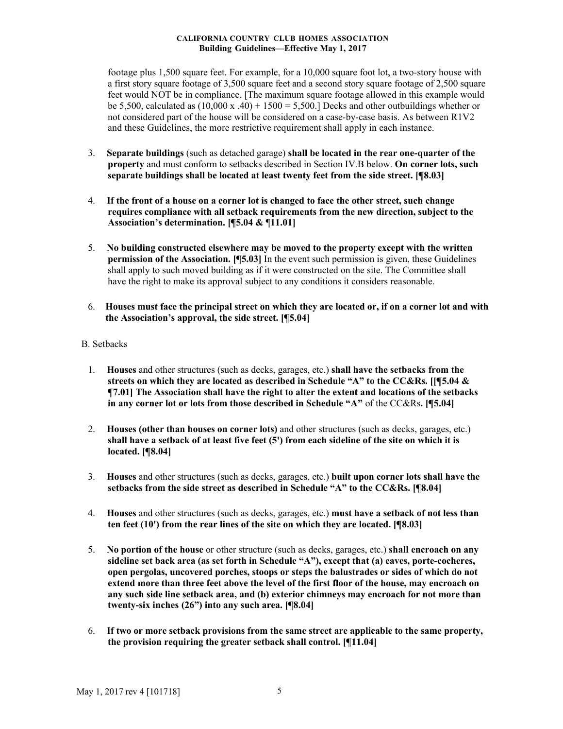footage plus 1,500 square feet. For example, for a 10,000 square foot lot, a two-story house with a first story square footage of 3,500 square feet and a second story square footage of 2,500 square feet would NOT be in compliance. [The maximum square footage allowed in this example would be 5,500, calculated as  $(10,000 \text{ x } .40) + 1500 = 5,500$ . Decks and other outbuildings whether or not considered part of the house will be considered on a case-by-case basis. As between R1V2 and these Guidelines, the more restrictive requirement shall apply in each instance.

- 3. **Separate buildings** (such as detached garage) **shall be located in the rear one-quarter of the property** and must conform to setbacks described in Section IV.B below. **On corner lots, such separate buildings shall be located at least twenty feet from the side street. [¶8.03]**
- 4. **If the front of a house on a corner lot is changed to face the other street, such change requires compliance with all setback requirements from the new direction, subject to the Association's determination. [¶5.04 &** ¶**11.01]**
- 5. **No building constructed elsewhere may be moved to the property except with the written permission of the Association. [¶5.03]** In the event such permission is given, these Guidelines shall apply to such moved building as if it were constructed on the site. The Committee shall have the right to make its approval subject to any conditions it considers reasonable.
- 6. **Houses must face the principal street on which they are located or, if on a corner lot and with the Association's approval, the side street. [¶5.04]**

## B. Setbacks

- 1. **Houses** and other structures (such as decks, garages, etc.) **shall have the setbacks from the streets on which they are located as described in Schedule "A" to the CC&Rs. [[¶5.04 & ¶7.01] The Association shall have the right to alter the extent and locations of the setbacks in any corner lot or lots from those described in Schedule "A"** of the CC&Rs**. [¶5.04]**
- 2. **Houses (other than houses on corner lots)** and other structures (such as decks, garages, etc.) **shall have a setback of at least five feet (5') from each sideline of the site on which it is located. [¶8.04]**
- 3. **Houses** and other structures (such as decks, garages, etc.) **built upon corner lots shall have the setbacks from the side street as described in Schedule "A" to the CC&Rs. [¶8.04]**
- 4. **Houses** and other structures (such as decks, garages, etc.) **must have a setback of not less than ten feet (10') from the rear lines of the site on which they are located. [¶8.03]**
- 5. **No portion of the house** or other structure (such as decks, garages, etc.) **shall encroach on any sideline set back area (as set forth in Schedule "A"), except that (a) eaves, porte-cocheres, open pergolas, uncovered porches, stoops or steps the balustrades or sides of which do not extend more than three feet above the level of the first floor of the house, may encroach on any such side line setback area, and (b) exterior chimneys may encroach for not more than twenty-six inches (26") into any such area. [¶8.04]**
- 6. **If two or more setback provisions from the same street are applicable to the same property, the provision requiring the greater setback shall control. [¶11.04]**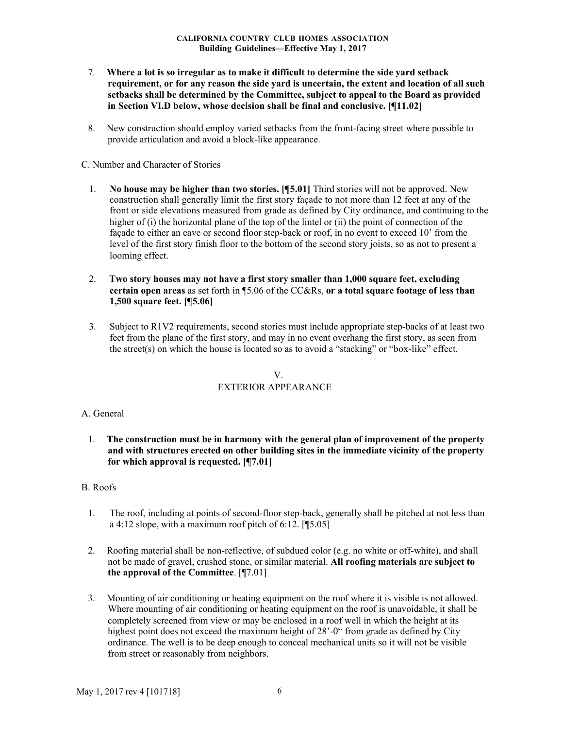- 7. **Where a lot is so irregular as to make it difficult to determine the side yard setback requirement, or for any reason the side yard is uncertain, the extent and location of all such setbacks shall be determined by the Committee, subject to appeal to the Board as provided in Section VI.D below, whose decision shall be final and conclusive. [¶11.02]**
- 8. New construction should employ varied setbacks from the front-facing street where possible to provide articulation and avoid a block-like appearance.

C. Number and Character of Stories

- 1. **No house may be higher than two stories. [¶5.01]** Third stories will not be approved. New construction shall generally limit the first story façade to not more than 12 feet at any of the front or side elevations measured from grade as defined by City ordinance, and continuing to the higher of (i) the horizontal plane of the top of the lintel or (ii) the point of connection of the façade to either an eave or second floor step-back or roof, in no event to exceed 10' from the level of the first story finish floor to the bottom of the second story joists, so as not to present a looming effect.
- 2. **Two story houses may not have a first story smaller than 1,000 square feet, excluding certain open areas** as set forth in ¶5.06 of the CC&Rs, **or a total square footage of less than 1,500 square feet. [¶5.06]**
- 3. Subject to R1V2 requirements, second stories must include appropriate step-backs of at least two feet from the plane of the first story, and may in no event overhang the first story, as seen from the street(s) on which the house is located so as to avoid a "stacking" or "box-like" effect.

# V. EXTERIOR APPEARANCE

### A. General

1. **The construction must be in harmony with the general plan of improvement of the property and with structures erected on other building sites in the immediate vicinity of the property for which approval is requested. [¶7.01]**

## B. Roofs

- 1. The roof, including at points of second-floor step-back, generally shall be pitched at not less than a 4:12 slope, with a maximum roof pitch of  $6:12$ . [[5.05]
- 2. Roofing material shall be non-reflective, of subdued color (e.g. no white or off-white), and shall not be made of gravel, crushed stone, or similar material. **All roofing materials are subject to the approval of the Committee**. [¶7.01]
- 3. Mounting of air conditioning or heating equipment on the roof where it is visible is not allowed. Where mounting of air conditioning or heating equipment on the roof is unavoidable, it shall be completely screened from view or may be enclosed in a roof well in which the height at its highest point does not exceed the maximum height of 28'-0" from grade as defined by City ordinance. The well is to be deep enough to conceal mechanical units so it will not be visible from street or reasonably from neighbors.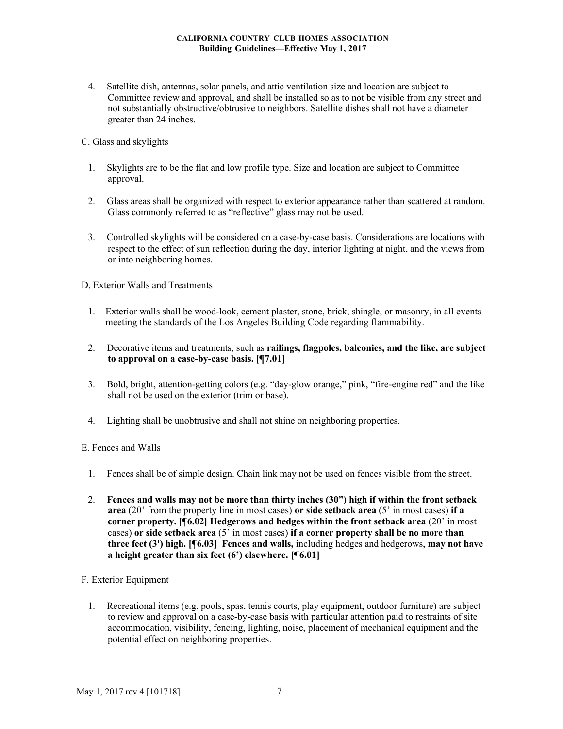4. Satellite dish, antennas, solar panels, and attic ventilation size and location are subject to Committee review and approval, and shall be installed so as to not be visible from any street and not substantially obstructive/obtrusive to neighbors. Satellite dishes shall not have a diameter greater than 24 inches.

# C. Glass and skylights

- 1. Skylights are to be the flat and low profile type. Size and location are subject to Committee approval.
- 2. Glass areas shall be organized with respect to exterior appearance rather than scattered at random. Glass commonly referred to as "reflective" glass may not be used.
- 3. Controlled skylights will be considered on a case-by-case basis. Considerations are locations with respect to the effect of sun reflection during the day, interior lighting at night, and the views from or into neighboring homes.

## D. Exterior Walls and Treatments

- 1. Exterior walls shall be wood-look, cement plaster, stone, brick, shingle, or masonry, in all events meeting the standards of the Los Angeles Building Code regarding flammability.
- 2. Decorative items and treatments, such as **railings, flagpoles, balconies, and the like, are subject to approval on a case-by-case basis. [¶7.01]**
- 3. Bold, bright, attention-getting colors (e.g. "day-glow orange," pink, "fire-engine red" and the like shall not be used on the exterior (trim or base).
- 4. Lighting shall be unobtrusive and shall not shine on neighboring properties.

# E. Fences and Walls

- 1. Fences shall be of simple design. Chain link may not be used on fences visible from the street.
- 2. **Fences and walls may not be more than thirty inches (30") high if within the front setback area** (20' from the property line in most cases) **or side setback area** (5' in most cases) **if a corner property. [¶6.02] Hedgerows and hedges within the front setback area** (20' in most cases) **or side setback area** (5' in most cases) **if a corner property shall be no more than three feet (3') high. [¶6.03] Fences and walls,** including hedges and hedgerows, **may not have a height greater than six feet (6') elsewhere. [¶6.01]**

# F. Exterior Equipment

1. Recreational items (e.g. pools, spas, tennis courts, play equipment, outdoor furniture) are subject to review and approval on a case-by-case basis with particular attention paid to restraints of site accommodation, visibility, fencing, lighting, noise, placement of mechanical equipment and the potential effect on neighboring properties.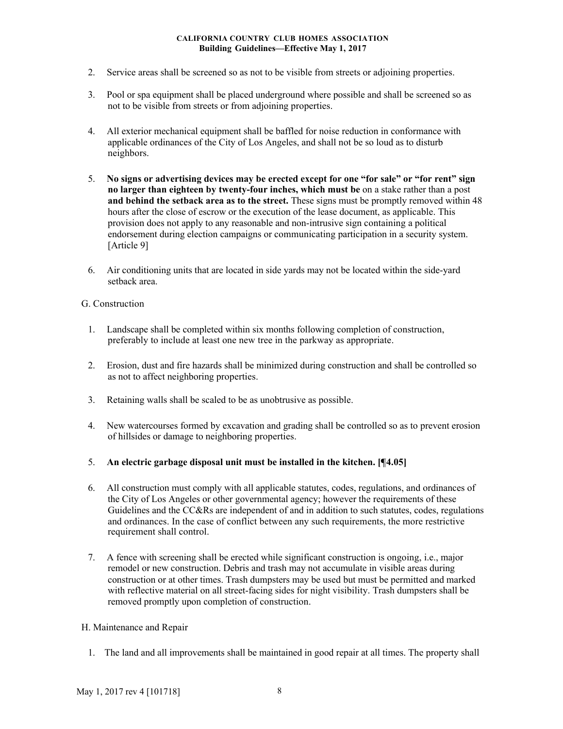- 2. Service areas shall be screened so as not to be visible from streets or adjoining properties.
- 3. Pool or spa equipment shall be placed underground where possible and shall be screened so as not to be visible from streets or from adjoining properties.
- 4. All exterior mechanical equipment shall be baffled for noise reduction in conformance with applicable ordinances of the City of Los Angeles, and shall not be so loud as to disturb neighbors.
- 5. **No signs or advertising devices may be erected except for one "for sale" or "for rent" sign no larger than eighteen by twenty-four inches, which must be** on a stake rather than a post **and behind the setback area as to the street.** These signs must be promptly removed within 48 hours after the close of escrow or the execution of the lease document, as applicable. This provision does not apply to any reasonable and non-intrusive sign containing a political endorsement during election campaigns or communicating participation in a security system. [Article 9]
- 6. Air conditioning units that are located in side yards may not be located within the side-yard setback area.

# G. Construction

- 1. Landscape shall be completed within six months following completion of construction, preferably to include at least one new tree in the parkway as appropriate.
- 2. Erosion, dust and fire hazards shall be minimized during construction and shall be controlled so as not to affect neighboring properties.
- 3. Retaining walls shall be scaled to be as unobtrusive as possible.
- 4. New watercourses formed by excavation and grading shall be controlled so as to prevent erosion of hillsides or damage to neighboring properties.
- 5. **An electric garbage disposal unit must be installed in the kitchen. [¶4.05]**
- 6. All construction must comply with all applicable statutes, codes, regulations, and ordinances of the City of Los Angeles or other governmental agency; however the requirements of these Guidelines and the CC&Rs are independent of and in addition to such statutes, codes, regulations and ordinances. In the case of conflict between any such requirements, the more restrictive requirement shall control.
- 7. A fence with screening shall be erected while significant construction is ongoing, i.e., major remodel or new construction. Debris and trash may not accumulate in visible areas during construction or at other times. Trash dumpsters may be used but must be permitted and marked with reflective material on all street-facing sides for night visibility. Trash dumpsters shall be removed promptly upon completion of construction.

# H. Maintenance and Repair

1. The land and all improvements shall be maintained in good repair at all times. The property shall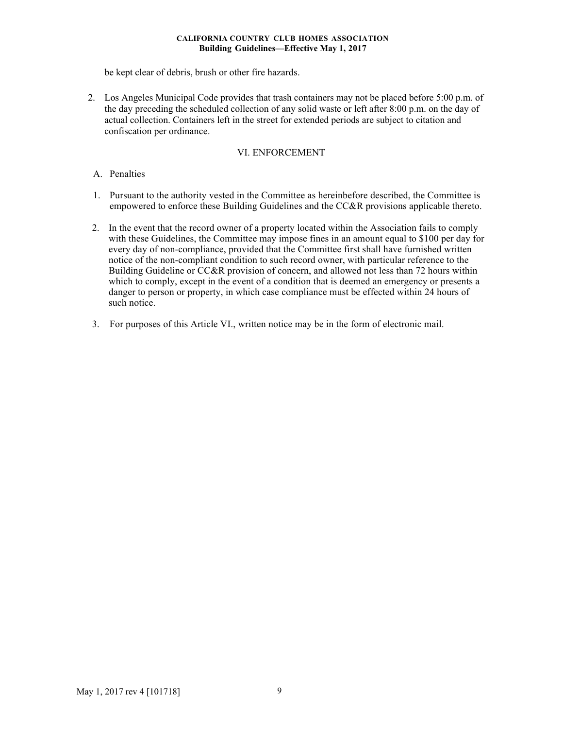be kept clear of debris, brush or other fire hazards.

2. Los Angeles Municipal Code provides that trash containers may not be placed before 5:00 p.m. of the day preceding the scheduled collection of any solid waste or left after 8:00 p.m. on the day of actual collection. Containers left in the street for extended periods are subject to citation and confiscation per ordinance.

## VI. ENFORCEMENT

## A. Penalties

- 1. Pursuant to the authority vested in the Committee as hereinbefore described, the Committee is empowered to enforce these Building Guidelines and the CC&R provisions applicable thereto.
- 2. In the event that the record owner of a property located within the Association fails to comply with these Guidelines, the Committee may impose fines in an amount equal to \$100 per day for every day of non-compliance, provided that the Committee first shall have furnished written notice of the non-compliant condition to such record owner, with particular reference to the Building Guideline or CC&R provision of concern, and allowed not less than 72 hours within which to comply, except in the event of a condition that is deemed an emergency or presents a danger to person or property, in which case compliance must be effected within 24 hours of such notice.
- 3. For purposes of this Article VI., written notice may be in the form of electronic mail.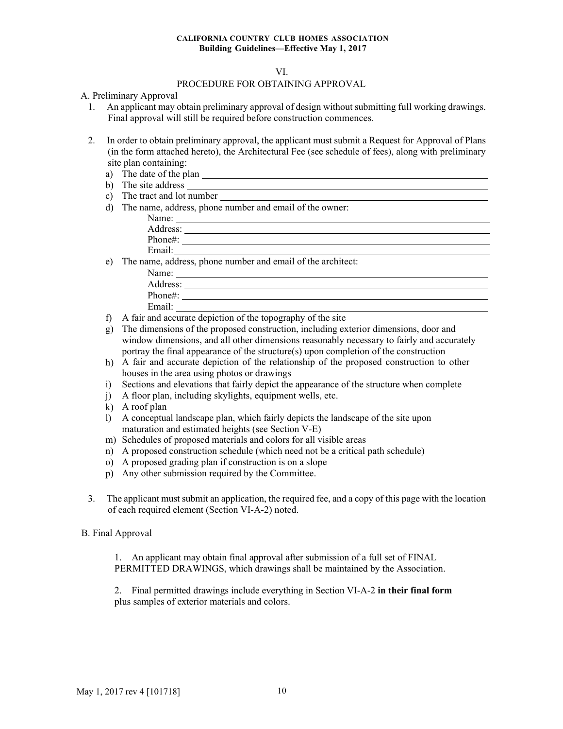### VI.

## PROCEDURE FOR OBTAINING APPROVAL

### A. Preliminary Approval

- 1. An applicant may obtain preliminary approval of design without submitting full working drawings. Final approval will still be required before construction commences.
- 2. In order to obtain preliminary approval, the applicant must submit a Request for Approval of Plans (in the form attached hereto), the Architectural Fee (see schedule of fees), along with preliminary site plan containing:
	- a) The date of the plan **contained** and the plan **contained** and **a** contained a set of the plan
	- b) The site address  $\frac{1}{\sqrt{2}}$
	- c) The tract and lot number
	- d) The name, address, phone number and email of the owner:

| Name:    |  |
|----------|--|
| Address: |  |
| Phone#:  |  |
| Email·   |  |

e) The name, address, phone number and email of the architect:

| Name:    |  |
|----------|--|
| Address: |  |
| Phone#:  |  |
| Email:   |  |
|          |  |

- f) A fair and accurate depiction of the topography of the site
- g) The dimensions of the proposed construction, including exterior dimensions, door and window dimensions, and all other dimensions reasonably necessary to fairly and accurately portray the final appearance of the structure(s) upon completion of the construction
- h) A fair and accurate depiction of the relationship of the proposed construction to other houses in the area using photos or drawings
- i) Sections and elevations that fairly depict the appearance of the structure when complete
- j) A floor plan, including skylights, equipment wells, etc.
- k) A roof plan
- l) A conceptual landscape plan, which fairly depicts the landscape of the site upon maturation and estimated heights (see Section V-E)
- m) Schedules of proposed materials and colors for all visible areas
- n) A proposed construction schedule (which need not be a critical path schedule)
- o) A proposed grading plan if construction is on a slope
- p) Any other submission required by the Committee.
- 3. The applicant must submit an application, the required fee, and a copy of this page with the location of each required element (Section VI-A-2) noted.

#### B. Final Approval

1. An applicant may obtain final approval after submission of a full set of FINAL PERMITTED DRAWINGS, which drawings shall be maintained by the Association.

2. Final permitted drawings include everything in Section VI-A-2 **in their final form**  plus samples of exterior materials and colors.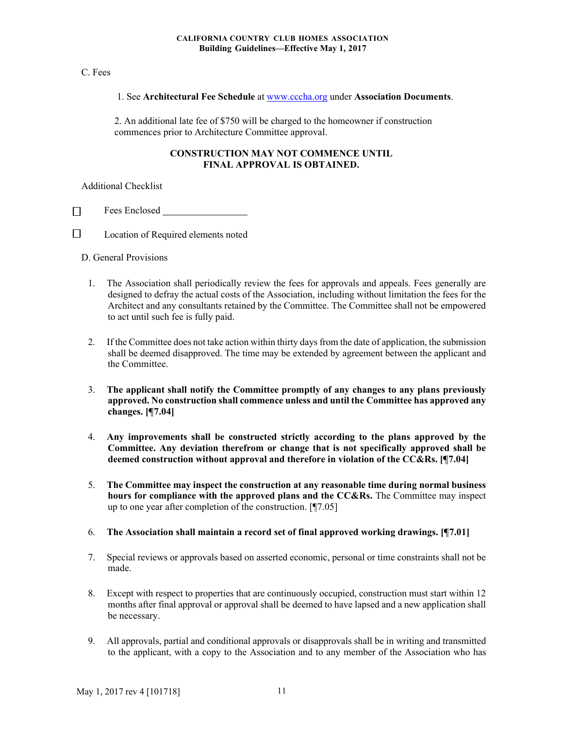## C. Fees

## 1. See **Architectural Fee Schedule** at www.cccha.org under **Association Documents**.

2. An additional late fee of \$750 will be charged to the homeowner if construction commences prior to Architecture Committee approval.

## **CONSTRUCTION MAY NOT COMMENCE UNTIL FINAL APPROVAL IS OBTAINED.**

Additional Checklist

Fees Enclosed  $\Box$ 

 $\Box$ Location of Required elements noted

D. General Provisions

- 1. The Association shall periodically review the fees for approvals and appeals. Fees generally are designed to defray the actual costs of the Association, including without limitation the fees for the Architect and any consultants retained by the Committee. The Committee shall not be empowered to act until such fee is fully paid.
- 2. If the Committee does not take action within thirty daysfrom the date of application, the submission shall be deemed disapproved. The time may be extended by agreement between the applicant and the Committee.
- 3. **The applicant shall notify the Committee promptly of any changes to any plans previously approved. No construction shall commence unless and until the Committee has approved any changes. [¶7.04]**
- 4. **Any improvements shall be constructed strictly according to the plans approved by the Committee. Any deviation therefrom or change that is not specifically approved shall be deemed construction without approval and therefore in violation of the CC&Rs. [¶7.04]**
- 5. **The Committee may inspect the construction at any reasonable time during normal business hours for compliance with the approved plans and the CC&Rs.** The Committee may inspect up to one year after completion of the construction. [¶7.05]
- 6. **The Association shall maintain a record set of final approved working drawings. [¶7.01]**
- 7. Special reviews or approvals based on asserted economic, personal or time constraints shall not be made.
- 8. Except with respect to properties that are continuously occupied, construction must start within 12 months after final approval or approval shall be deemed to have lapsed and a new application shall be necessary.
- 9. All approvals, partial and conditional approvals or disapprovals shall be in writing and transmitted to the applicant, with a copy to the Association and to any member of the Association who has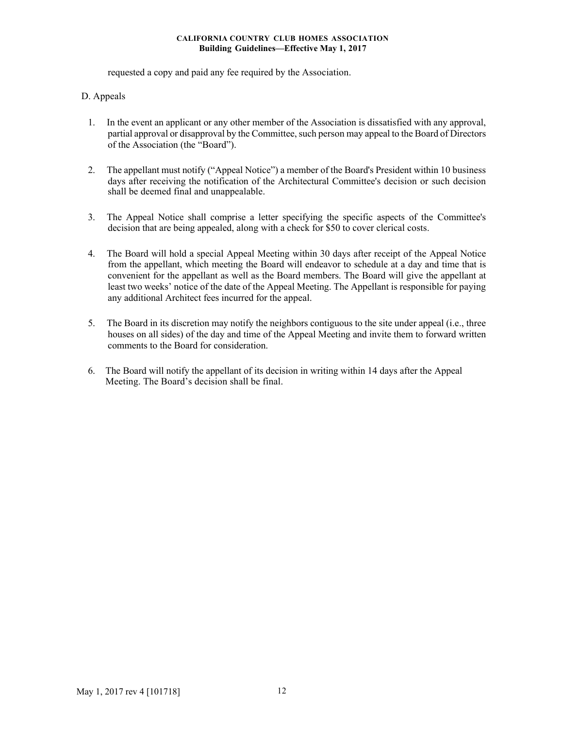requested a copy and paid any fee required by the Association.

# D. Appeals

- 1. In the event an applicant or any other member of the Association is dissatisfied with any approval, partial approval or disapproval by the Committee, such person may appeal to the Board of Directors of the Association (the "Board").
- 2. The appellant must notify ("Appeal Notice") a member of the Board's President within 10 business days after receiving the notification of the Architectural Committee's decision or such decision shall be deemed final and unappealable.
- 3. The Appeal Notice shall comprise a letter specifying the specific aspects of the Committee's decision that are being appealed, along with a check for \$50 to cover clerical costs.
- 4. The Board will hold a special Appeal Meeting within 30 days after receipt of the Appeal Notice from the appellant, which meeting the Board will endeavor to schedule at a day and time that is convenient for the appellant as well as the Board members. The Board will give the appellant at least two weeks' notice of the date of the Appeal Meeting. The Appellant is responsible for paying any additional Architect fees incurred for the appeal.
- 5. The Board in its discretion may notify the neighbors contiguous to the site under appeal (i.e., three houses on all sides) of the day and time of the Appeal Meeting and invite them to forward written comments to the Board for consideration.
- 6. The Board will notify the appellant of its decision in writing within 14 days after the Appeal Meeting. The Board's decision shall be final.